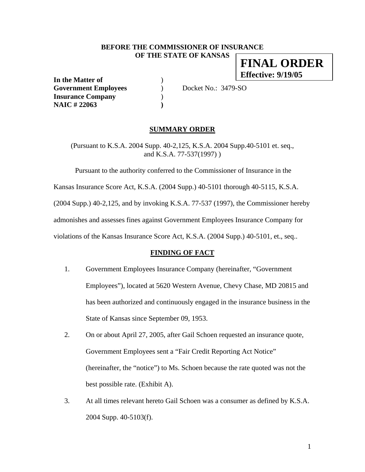### **BEFORE THE COMMISSIONER OF INSURANCE OF THE STATE OF KANSAS FINAL ORDER**

**In the Matter of** ) **Government Employees** ) Docket No.: 3479-SO **Insurance Company** ) **NAIC # 22063 )** 

**Effective: 9/19/05**

### **SUMMARY ORDER**

(Pursuant to K.S.A. 2004 Supp. 40-2,125, K.S.A. 2004 Supp.40-5101 et. seq., and K.S.A. 77-537(1997) )

Pursuant to the authority conferred to the Commissioner of Insurance in the

Kansas Insurance Score Act, K.S.A. (2004 Supp.) 40-5101 thorough 40-5115, K.S.A.

(2004 Supp.) 40-2,125, and by invoking K.S.A. 77-537 (1997), the Commissioner hereby

admonishes and assesses fines against Government Employees Insurance Company for

violations of the Kansas Insurance Score Act, K.S.A. (2004 Supp.) 40-5101, et., seq..

### **FINDING OF FACT**

- 1. Government Employees Insurance Company (hereinafter, "Government Employees"), located at 5620 Western Avenue, Chevy Chase, MD 20815 and has been authorized and continuously engaged in the insurance business in the State of Kansas since September 09, 1953.
- 2. On or about April 27, 2005, after Gail Schoen requested an insurance quote, Government Employees sent a "Fair Credit Reporting Act Notice" (hereinafter, the "notice") to Ms. Schoen because the rate quoted was not the best possible rate. (Exhibit A).
- 3. At all times relevant hereto Gail Schoen was a consumer as defined by K.S.A. 2004 Supp. 40-5103(f).

1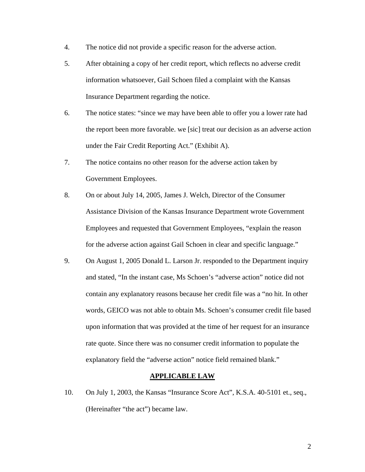- 4. The notice did not provide a specific reason for the adverse action.
- 5. After obtaining a copy of her credit report, which reflects no adverse credit information whatsoever, Gail Schoen filed a complaint with the Kansas Insurance Department regarding the notice.
- 6. The notice states: "since we may have been able to offer you a lower rate had the report been more favorable. we [sic] treat our decision as an adverse action under the Fair Credit Reporting Act." (Exhibit A).
- 7. The notice contains no other reason for the adverse action taken by Government Employees.
- 8. On or about July 14, 2005, James J. Welch, Director of the Consumer Assistance Division of the Kansas Insurance Department wrote Government Employees and requested that Government Employees, "explain the reason for the adverse action against Gail Schoen in clear and specific language."
- 9. On August 1, 2005 Donald L. Larson Jr. responded to the Department inquiry and stated, "In the instant case, Ms Schoen's "adverse action" notice did not contain any explanatory reasons because her credit file was a "no hit. In other words, GEICO was not able to obtain Ms. Schoen's consumer credit file based upon information that was provided at the time of her request for an insurance rate quote. Since there was no consumer credit information to populate the explanatory field the "adverse action" notice field remained blank."

# **APPLICABLE LAW**

10. On July 1, 2003, the Kansas "Insurance Score Act", K.S.A. 40-5101 et., seq., (Hereinafter "the act") became law.

2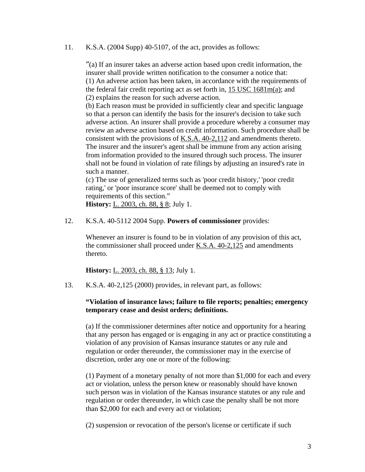11. K.S.A. (2004 Supp) 40-5107, of the act, provides as follows:

"(a) If an insurer takes an adverse action based upon credit information, the insurer shall provide written notification to the consumer a notice that: (1) An adverse action has been taken, in accordance with the requirements of the federal fair credit reporting act as set forth in, 15 USC 1681m(a); and (2) explains the reason for such adverse action.

(b) Each reason must be provided in sufficiently clear and specific language so that a person can identify the basis for the insurer's decision to take such adverse action. An insurer shall provide a procedure whereby a consumer may review an adverse action based on credit information. Such procedure shall be consistent with the provisions of K.S.A. 40-2,112 and amendments thereto. The insurer and the insurer's agent shall be immune from any action arising from information provided to the insured through such process. The insurer shall not be found in violation of rate filings by adjusting an insured's rate in such a manner.

(c) The use of generalized terms such as 'poor credit history,' 'poor credit rating,' or 'poor insurance score' shall be deemed not to comply with requirements of this section."

**History:** L. 2003, ch. 88, § 8; July 1.

12. K.S.A. 40-5112 2004 Supp. **Powers of commissioner** provides:

Whenever an insurer is found to be in violation of any provision of this act, the commissioner shall proceed under <u>K.S.A.</u> 40-2,125 and amendments thereto.

**History:** <u>L. 2003, ch. 88, § 13</u>; July 1.

13. K.S.A. 40-2,125 (2000) provides, in relevant part, as follows:

## **"Violation of insurance laws; failure to file reports; penalties; emergency temporary cease and desist orders; definitions.**

(a) If the commissioner determines after notice and opportunity for a hearing that any person has engaged or is engaging in any act or practice constituting a violation of any provision of Kansas insurance statutes or any rule and regulation or order thereunder, the commissioner may in the exercise of discretion, order any one or more of the following:

(1) Payment of a monetary penalty of not more than \$1,000 for each and every act or violation, unless the person knew or reasonably should have known such person was in violation of the Kansas insurance statutes or any rule and regulation or order thereunder, in which case the penalty shall be not more than \$2,000 for each and every act or violation;

(2) suspension or revocation of the person's license or certificate if such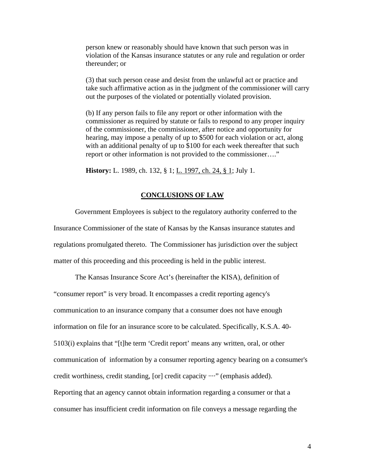person knew or reasonably should have known that such person was in violation of the Kansas insurance statutes or any rule and regulation or order thereunder; or

(3) that such person cease and desist from the unlawful act or practice and take such affirmative action as in the judgment of the commissioner will carry out the purposes of the violated or potentially violated provision.

(b) If any person fails to file any report or other information with the commissioner as required by statute or fails to respond to any proper inquiry of the commissioner, the commissioner, after notice and opportunity for hearing, may impose a penalty of up to \$500 for each violation or act, along with an additional penalty of up to \$100 for each week thereafter that such report or other information is not provided to the commissioner…."

**History:** L. 1989, ch. 132, § 1; L. 1997, ch. 24, § 1; July 1.

#### **CONCLUSIONS OF LAW**

 Government Employees is subject to the regulatory authority conferred to the Insurance Commissioner of the state of Kansas by the Kansas insurance statutes and regulations promulgated thereto. The Commissioner has jurisdiction over the subject matter of this proceeding and this proceeding is held in the public interest.

The Kansas Insurance Score Act's (hereinafter the KISA), definition of "consumer report" is very broad. It encompasses a credit reporting agency's communication to an insurance company that a consumer does not have enough information on file for an insurance score to be calculated. Specifically, K.S.A. 40- 5103(i) explains that "[t]he term 'Credit report' means any written, oral, or other communication of information by a consumer reporting agency bearing on a consumer's credit worthiness, credit standing, [or] credit capacity ····" (emphasis added). Reporting that an agency cannot obtain information regarding a consumer or that a consumer has insufficient credit information on file conveys a message regarding the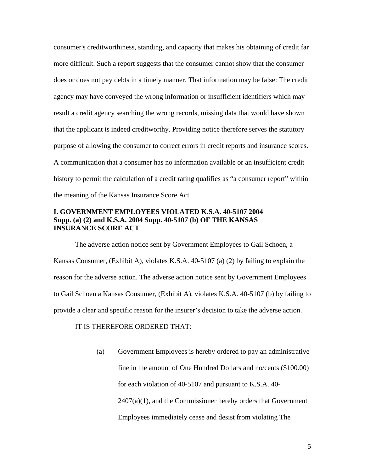consumer's creditworthiness, standing, and capacity that makes his obtaining of credit far more difficult. Such a report suggests that the consumer cannot show that the consumer does or does not pay debts in a timely manner. That information may be false: The credit agency may have conveyed the wrong information or insufficient identifiers which may result a credit agency searching the wrong records, missing data that would have shown that the applicant is indeed creditworthy. Providing notice therefore serves the statutory purpose of allowing the consumer to correct errors in credit reports and insurance scores. A communication that a consumer has no information available or an insufficient credit history to permit the calculation of a credit rating qualifies as "a consumer report" within the meaning of the Kansas Insurance Score Act.

### **I. GOVERNMENT EMPLOYEES VIOLATED K.S.A. 40-5107 2004 Supp. (a) (2) and K.S.A. 2004 Supp. 40-5107 (b) OF THE KANSAS INSURANCE SCORE ACT**

 The adverse action notice sent by Government Employees to Gail Schoen, a Kansas Consumer, (Exhibit A), violates K.S.A. 40-5107 (a) (2) by failing to explain the reason for the adverse action. The adverse action notice sent by Government Employees to Gail Schoen a Kansas Consumer, (Exhibit A), violates K.S.A. 40-5107 (b) by failing to provide a clear and specific reason for the insurer's decision to take the adverse action.

### IT IS THEREFORE ORDERED THAT:

(a) Government Employees is hereby ordered to pay an administrative fine in the amount of One Hundred Dollars and no/cents (\$100.00) for each violation of 40-5107 and pursuant to K.S.A. 40-  $2407(a)(1)$ , and the Commissioner hereby orders that Government Employees immediately cease and desist from violating The

5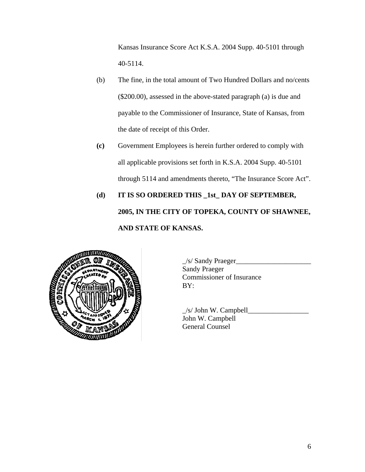Kansas Insurance Score Act K.S.A. 2004 Supp. 40-5101 through 40-5114.

- (b) The fine, in the total amount of Two Hundred Dollars and no/cents (\$200.00), assessed in the above-stated paragraph (a) is due and payable to the Commissioner of Insurance, State of Kansas, from the date of receipt of this Order.
- **(c)** Government Employees is herein further ordered to comply with all applicable provisions set forth in K.S.A. 2004 Supp. 40-5101 through 5114 and amendments thereto, "The Insurance Score Act".
- **(d) IT IS SO ORDERED THIS \_1st\_ DAY OF SEPTEMBER, 2005, IN THE CITY OF TOPEKA, COUNTY OF SHAWNEE, AND STATE OF KANSAS.**



 $\angle$ /s/ Sandy Praeger $\angle$ Sandy Praeger Commissioner of Insurance

 $\frac{1}{s}$   $\frac{1}{s}$   $\frac{1}{s}$   $\frac{1}{s}$   $\frac{1}{s}$   $\frac{1}{s}$   $\frac{1}{s}$   $\frac{1}{s}$   $\frac{1}{s}$   $\frac{1}{s}$   $\frac{1}{s}$   $\frac{1}{s}$   $\frac{1}{s}$   $\frac{1}{s}$   $\frac{1}{s}$   $\frac{1}{s}$   $\frac{1}{s}$   $\frac{1}{s}$   $\frac{1}{s}$   $\frac{1}{s}$   $\frac{1}{s}$   $\frac{1}{s}$  John W. Campbell General Counsel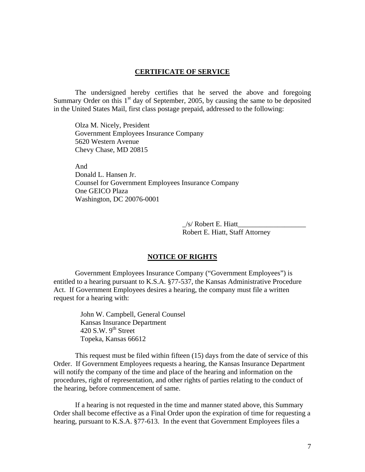### **CERTIFICATE OF SERVICE**

 The undersigned hereby certifies that he served the above and foregoing Summary Order on this  $1<sup>st</sup>$  day of September, 2005, by causing the same to be deposited in the United States Mail, first class postage prepaid, addressed to the following:

 Olza M. Nicely, President Government Employees Insurance Company 5620 Western Avenue Chevy Chase, MD 20815

And Donald L. Hansen Jr. Counsel for Government Employees Insurance Company One GEICO Plaza Washington, DC 20076-0001

> $/s/$  Robert E. Hiatt Robert E. Hiatt, Staff Attorney

#### **NOTICE OF RIGHTS**

 Government Employees Insurance Company ("Government Employees") is entitled to a hearing pursuant to K.S.A. §77-537, the Kansas Administrative Procedure Act. If Government Employees desires a hearing, the company must file a written request for a hearing with:

> John W. Campbell, General Counsel Kansas Insurance Department 420 S.W.  $9^{th}$  Street Topeka, Kansas 66612

 This request must be filed within fifteen (15) days from the date of service of this Order. If Government Employees requests a hearing, the Kansas Insurance Department will notify the company of the time and place of the hearing and information on the procedures, right of representation, and other rights of parties relating to the conduct of the hearing, before commencement of same.

 If a hearing is not requested in the time and manner stated above, this Summary Order shall become effective as a Final Order upon the expiration of time for requesting a hearing, pursuant to K.S.A. §77-613. In the event that Government Employees files a